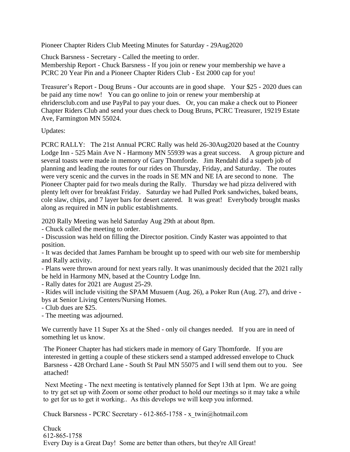Pioneer Chapter Riders Club Meeting Minutes for Saturday - 29Aug2020<br>Chuck Barsness - Secretary - Called the meeting to order.

Pioneer Chapter Riders Club Meeting Minutes for Saturday - 2<br>Chuck Barsness - Secretary - Called the meeting to order.<br>Membership Report - Chuck Barsness - If you join or renew y Pioneer Chapter Riders Club Meeting Minutes for Saturday - 29Aug2020<br>Chuck Barsness - Secretary - Called the meeting to order.<br>Membership Report - Chuck Barsness - If you join or renew your membership we have a<br>PCRC 20 Yea Pioneer Chapter Riders Club Meeting Minutes for Saturday - 29Aug2020<br>Chuck Barsness - Secretary - Called the meeting to order.<br>Membership Report - Chuck Barsness - If you join or renew your membership we happen CRC 20 Year

Treasurer's Report - Doug Bruns - Our accounts are in good shape. Your \$25 - 2020 dues can be paid any time now! You can go online to join or renew your membership at ehridersclub.com and use PayPal to pay your dues. Or, you can make a check out to Pioneer Chapter Riders Club and send your dues check to Doug Bruns, PCRC Treasurer, 19219 Estate Ave, Farmington MN 55024.

Updates:

PCRC RALLY: The 21st Annual PCRC Rally w as held 26-30Aug2020 based at the Country planning and leading the routes for our rides on Thursday, Friday, and Saturday. The routes were very scenic and the curves in the roads in SE MN and NE IA are second to none. The Lodge Inn - 525 Main Ave N - Harmony MN 55939 was a great success. A group picture and several toasts were made in memory of Gary Thomforde. Jim Rendahl did a superb job of Pioneer Chapter paid for two meals during the Rally. Thursday we had pizza delivered with plenty left over for breakfast Friday. Saturday we had Pulled Pork sandwiches, baked beans, cole slaw, chips, and 7 layer bars for desert catered. It was great! Everybody brought masks along as required in MN in public est cole slaw, chips, and 7 layer bars for desert catered. It was great! Everybody brought masks<br>along as required in MN in public establishments.<br>2020 Rally Meeting was held Saturday Aug 29th at about 8pm.<br>- Chuck called the along as required in MN in public establishments.

2020 Rally Meeting was held Saturday Aug 29th at about 8pm.

position.

2020 Rally Meeting was held Saturday Aug 29th at about 8pm.<br>- Chuck called the meeting to order.<br>- Discussion was held on filling the Director position. Cindy Kaster was appointed to that<br>position.<br>- It was decided that Ja and Rally activity.

- Chuck called the meeting to order.<br>
- Discussion was held on filling the Director position. Cindy Kaster was appointed to that<br>
position.<br>
- It was decided that James Parnham be brought up to speed with our web site for be held in Harmony MN, based at the Country Lodge Inn. position.<br>
- It was decided that James Parnham be brought - It was decided that James Parnham be brought and Rally activity.<br>
- Plans were thrown around for next years ral be held in Harmony MN, based at the Countr<br>
- Rall - It was decided that James Parnham be brought up to speed with our web site for membership<br>and Rally activity.<br>- Plans were thrown around for next years rally. It was unanimously decided that the 2021 rally<br>be held in Har

bys at Senior Living Centers/Nursing Homes. - Plans were thrown arou<br>be held in Harmony MN<br>- Rally dates for 2021 are<br>- Rides will include visit<br>bys at Senior Living Cen<br>- Club dues are \$25.<br>- The meeting was adjou be held in Harmony MN, based at<br>
- Rally dates for 2021 are August 2<br>
- Rides will include visiting the SF<br>
bys at Senior Living Centers/Nurs<br>
- Club dues are \$25.<br>
- The meeting was adjourned.<br>
We currently have 11 Super

We currently have 11 Super Xs at the Shed - only oil changes needed. If you are in need of something let us know.

The Pioneer Chapter has had stickers made in memory of Gary Thomforde. If you are interested in getting a couple of these stickers send a stamped addressed envelope to Chuck Barsness - 428 Orchard Lane - South St Paul MN 55075 and I will send them out to you. See attached!

 Next Meeting - The next meeting is tentatively planned for Sept 13th at 1pm. We are going to try get set up with Zoom or some other product to hold our meetings so it may take a while to get for us to get it working.. As this develops we will keep you informed.

Chuck Barsness - PCRC Secretary - 612-865-1758 - x\_twin@hotmail.com

Chuck 612-865-1758 Every Day is a Great Day! Some are better than others, but they're All Great!